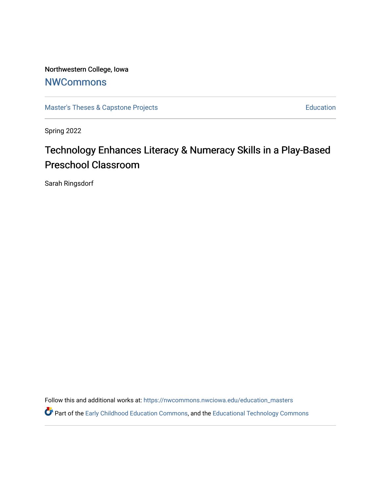Northwestern College, Iowa

### **[NWCommons](https://nwcommons.nwciowa.edu/)**

[Master's Theses & Capstone Projects](https://nwcommons.nwciowa.edu/education_masters) **Education** Education

Spring 2022

# Technology Enhances Literacy & Numeracy Skills in a Play-Based Preschool Classroom

Sarah Ringsdorf

Follow this and additional works at: [https://nwcommons.nwciowa.edu/education\\_masters](https://nwcommons.nwciowa.edu/education_masters?utm_source=nwcommons.nwciowa.edu%2Feducation_masters%2F404&utm_medium=PDF&utm_campaign=PDFCoverPages)

Part of the [Early Childhood Education Commons,](https://network.bepress.com/hgg/discipline/1377?utm_source=nwcommons.nwciowa.edu%2Feducation_masters%2F404&utm_medium=PDF&utm_campaign=PDFCoverPages) and the [Educational Technology Commons](https://network.bepress.com/hgg/discipline/1415?utm_source=nwcommons.nwciowa.edu%2Feducation_masters%2F404&utm_medium=PDF&utm_campaign=PDFCoverPages)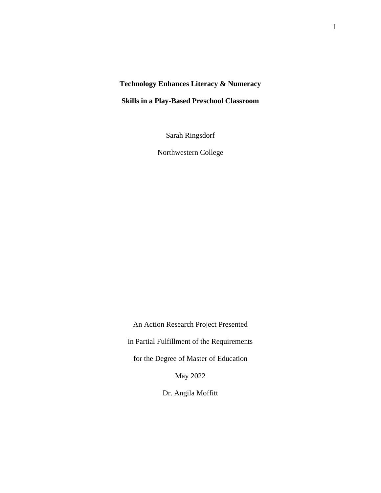## **Technology Enhances Literacy & Numeracy Skills in a Play-Based Preschool Classroom**

Sarah Ringsdorf

Northwestern College

An Action Research Project Presented

in Partial Fulfillment of the Requirements

for the Degree of Master of Education

May 2022

Dr. Angila Moffitt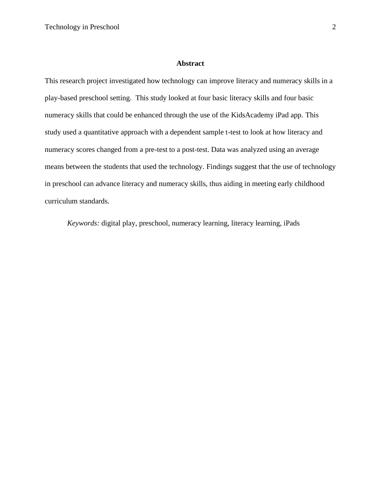#### **Abstract**

<span id="page-2-0"></span>This research project investigated how technology can improve literacy and numeracy skills in a play-based preschool setting. This study looked at four basic literacy skills and four basic numeracy skills that could be enhanced through the use of the KidsAcademy iPad app. This study used a quantitative approach with a dependent sample t-test to look at how literacy and numeracy scores changed from a pre-test to a post-test. Data was analyzed using an average means between the students that used the technology. Findings suggest that the use of technology in preschool can advance literacy and numeracy skills, thus aiding in meeting early childhood curriculum standards.

*Keywords:* digital play, preschool, numeracy learning, literacy learning, iPads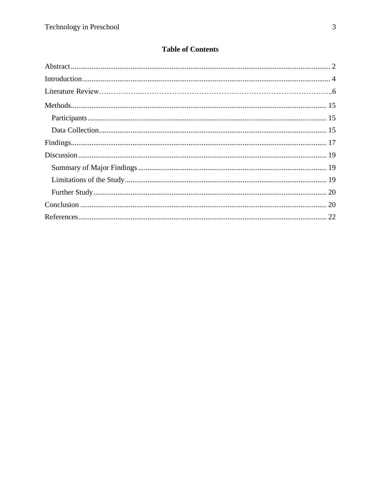### **Table of Contents**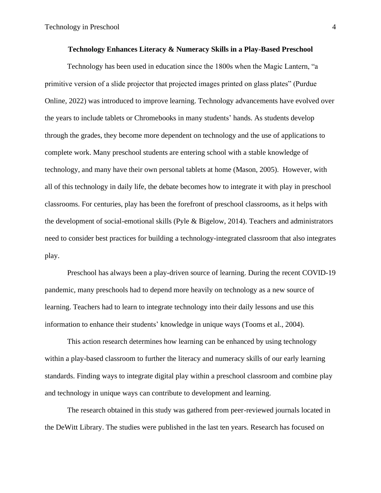#### **Technology Enhances Literacy & Numeracy Skills in a Play-Based Preschool**

<span id="page-4-0"></span>Technology has been used in education since the 1800s when the Magic Lantern, "a primitive version of a slide projector that projected images printed on glass plates" (Purdue Online, 2022) was introduced to improve learning. Technology advancements have evolved over the years to include tablets or Chromebooks in many students' hands. As students develop through the grades, they become more dependent on technology and the use of applications to complete work. Many preschool students are entering school with a stable knowledge of technology, and many have their own personal tablets at home (Mason, 2005). However, with all of this technology in daily life, the debate becomes how to integrate it with play in preschool classrooms. For centuries, play has been the forefront of preschool classrooms, as it helps with the development of social-emotional skills (Pyle & Bigelow, 2014). Teachers and administrators need to consider best practices for building a technology-integrated classroom that also integrates play.

Preschool has always been a play-driven source of learning. During the recent COVID-19 pandemic, many preschools had to depend more heavily on technology as a new source of learning. Teachers had to learn to integrate technology into their daily lessons and use this information to enhance their students' knowledge in unique ways (Tooms et al., 2004).

This action research determines how learning can be enhanced by using technology within a play-based classroom to further the literacy and numeracy skills of our early learning standards. Finding ways to integrate digital play within a preschool classroom and combine play and technology in unique ways can contribute to development and learning.

The research obtained in this study was gathered from peer-reviewed journals located in the DeWitt Library. The studies were published in the last ten years. Research has focused on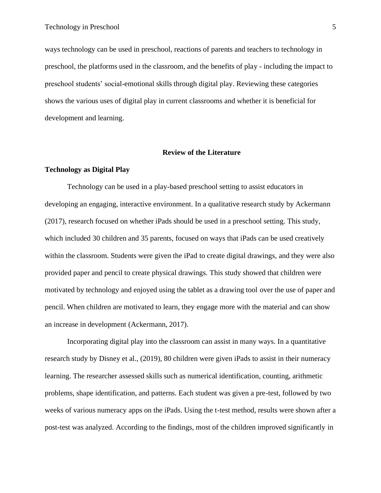ways technology can be used in preschool, reactions of parents and teachers to technology in preschool, the platforms used in the classroom, and the benefits of play - including the impact to preschool students' social-emotional skills through digital play. Reviewing these categories shows the various uses of digital play in current classrooms and whether it is beneficial for development and learning.

#### **Review of the Literature**

#### **Technology as Digital Play**

Technology can be used in a play-based preschool setting to assist educators in developing an engaging, interactive environment. In a qualitative research study by Ackermann (2017), research focused on whether iPads should be used in a preschool setting. This study, which included 30 children and 35 parents, focused on ways that iPads can be used creatively within the classroom. Students were given the iPad to create digital drawings, and they were also provided paper and pencil to create physical drawings. This study showed that children were motivated by technology and enjoyed using the tablet as a drawing tool over the use of paper and pencil. When children are motivated to learn, they engage more with the material and can show an increase in development (Ackermann, 2017).

Incorporating digital play into the classroom can assist in many ways. In a quantitative research study by Disney et al., (2019), 80 children were given iPads to assist in their numeracy learning. The researcher assessed skills such as numerical identification, counting, arithmetic problems, shape identification, and patterns. Each student was given a pre-test, followed by two weeks of various numeracy apps on the iPads. Using the t-test method, results were shown after a post-test was analyzed. According to the findings, most of the children improved significantly in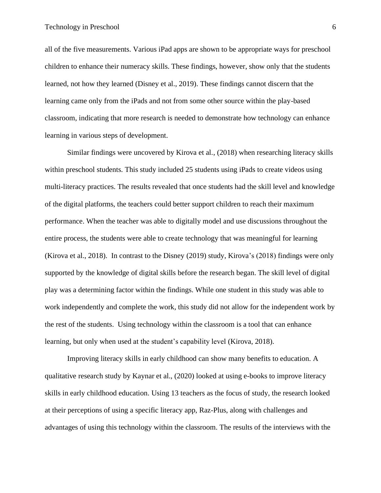all of the five measurements. Various iPad apps are shown to be appropriate ways for preschool children to enhance their numeracy skills. These findings, however, show only that the students learned, not how they learned (Disney et al., 2019). These findings cannot discern that the learning came only from the iPads and not from some other source within the play-based classroom, indicating that more research is needed to demonstrate how technology can enhance learning in various steps of development.

Similar findings were uncovered by Kirova et al., (2018) when researching literacy skills within preschool students. This study included 25 students using iPads to create videos using multi-literacy practices. The results revealed that once students had the skill level and knowledge of the digital platforms, the teachers could better support children to reach their maximum performance. When the teacher was able to digitally model and use discussions throughout the entire process, the students were able to create technology that was meaningful for learning (Kirova et al., 2018). In contrast to the Disney (2019) study, Kirova's (2018) findings were only supported by the knowledge of digital skills before the research began. The skill level of digital play was a determining factor within the findings. While one student in this study was able to work independently and complete the work, this study did not allow for the independent work by the rest of the students. Using technology within the classroom is a tool that can enhance learning, but only when used at the student's capability level (Kirova, 2018).

Improving literacy skills in early childhood can show many benefits to education. A qualitative research study by Kaynar et al., (2020) looked at using e-books to improve literacy skills in early childhood education. Using 13 teachers as the focus of study, the research looked at their perceptions of using a specific literacy app, Raz-Plus, along with challenges and advantages of using this technology within the classroom. The results of the interviews with the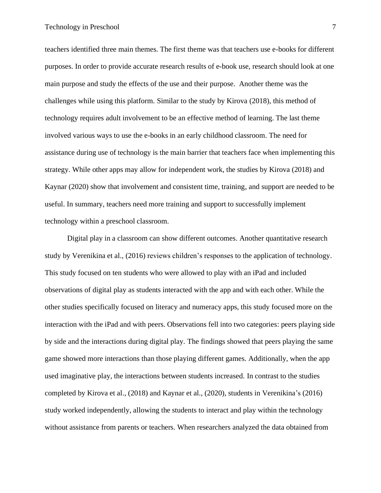teachers identified three main themes. The first theme was that teachers use e-books for different purposes. In order to provide accurate research results of e-book use, research should look at one main purpose and study the effects of the use and their purpose. Another theme was the challenges while using this platform. Similar to the study by Kirova (2018), this method of technology requires adult involvement to be an effective method of learning. The last theme involved various ways to use the e-books in an early childhood classroom. The need for assistance during use of technology is the main barrier that teachers face when implementing this strategy. While other apps may allow for independent work, the studies by Kirova (2018) and Kaynar (2020) show that involvement and consistent time, training, and support are needed to be useful. In summary, teachers need more training and support to successfully implement technology within a preschool classroom.

Digital play in a classroom can show different outcomes. Another quantitative research study by Verenikina et al., (2016) reviews children's responses to the application of technology. This study focused on ten students who were allowed to play with an iPad and included observations of digital play as students interacted with the app and with each other. While the other studies specifically focused on literacy and numeracy apps, this study focused more on the interaction with the iPad and with peers. Observations fell into two categories: peers playing side by side and the interactions during digital play. The findings showed that peers playing the same game showed more interactions than those playing different games. Additionally, when the app used imaginative play, the interactions between students increased. In contrast to the studies completed by Kirova et al., (2018) and Kaynar et al., (2020), students in Verenikina's (2016) study worked independently, allowing the students to interact and play within the technology without assistance from parents or teachers. When researchers analyzed the data obtained from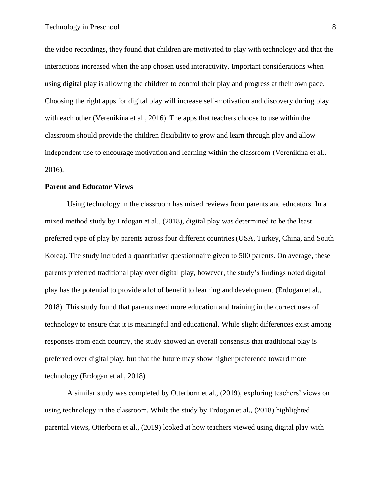the video recordings, they found that children are motivated to play with technology and that the interactions increased when the app chosen used interactivity. Important considerations when using digital play is allowing the children to control their play and progress at their own pace. Choosing the right apps for digital play will increase self-motivation and discovery during play with each other (Verenikina et al., 2016). The apps that teachers choose to use within the classroom should provide the children flexibility to grow and learn through play and allow independent use to encourage motivation and learning within the classroom (Verenikina et al., 2016).

#### **Parent and Educator Views**

Using technology in the classroom has mixed reviews from parents and educators. In a mixed method study by Erdogan et al., (2018), digital play was determined to be the least preferred type of play by parents across four different countries (USA, Turkey, China, and South Korea). The study included a quantitative questionnaire given to 500 parents. On average, these parents preferred traditional play over digital play, however, the study's findings noted digital play has the potential to provide a lot of benefit to learning and development (Erdogan et al., 2018). This study found that parents need more education and training in the correct uses of technology to ensure that it is meaningful and educational. While slight differences exist among responses from each country, the study showed an overall consensus that traditional play is preferred over digital play, but that the future may show higher preference toward more technology (Erdogan et al., 2018).

A similar study was completed by Otterborn et al., (2019), exploring teachers' views on using technology in the classroom. While the study by Erdogan et al., (2018) highlighted parental views, Otterborn et al., (2019) looked at how teachers viewed using digital play with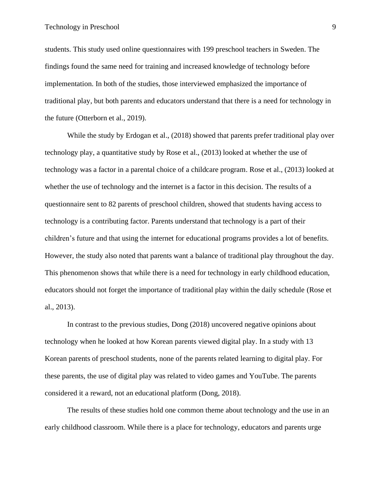students. This study used online questionnaires with 199 preschool teachers in Sweden. The findings found the same need for training and increased knowledge of technology before implementation. In both of the studies, those interviewed emphasized the importance of traditional play, but both parents and educators understand that there is a need for technology in the future (Otterborn et al., 2019).

While the study by Erdogan et al., (2018) showed that parents prefer traditional play over technology play, a quantitative study by Rose et al., (2013) looked at whether the use of technology was a factor in a parental choice of a childcare program. Rose et al., (2013) looked at whether the use of technology and the internet is a factor in this decision. The results of a questionnaire sent to 82 parents of preschool children, showed that students having access to technology is a contributing factor. Parents understand that technology is a part of their children's future and that using the internet for educational programs provides a lot of benefits. However, the study also noted that parents want a balance of traditional play throughout the day. This phenomenon shows that while there is a need for technology in early childhood education, educators should not forget the importance of traditional play within the daily schedule (Rose et al., 2013).

In contrast to the previous studies, Dong (2018) uncovered negative opinions about technology when he looked at how Korean parents viewed digital play. In a study with 13 Korean parents of preschool students, none of the parents related learning to digital play. For these parents, the use of digital play was related to video games and YouTube. The parents considered it a reward, not an educational platform (Dong, 2018).

The results of these studies hold one common theme about technology and the use in an early childhood classroom. While there is a place for technology, educators and parents urge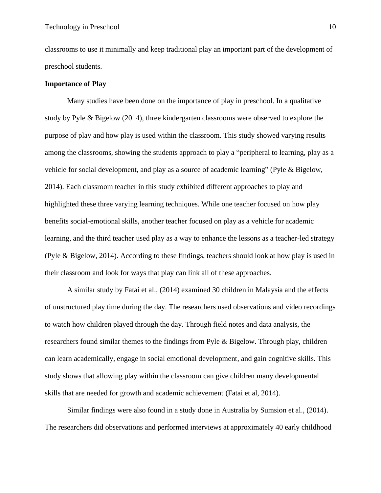classrooms to use it minimally and keep traditional play an important part of the development of preschool students.

#### **Importance of Play**

Many studies have been done on the importance of play in preschool. In a qualitative study by Pyle & Bigelow (2014), three kindergarten classrooms were observed to explore the purpose of play and how play is used within the classroom. This study showed varying results among the classrooms, showing the students approach to play a "peripheral to learning, play as a vehicle for social development, and play as a source of academic learning" (Pyle & Bigelow, 2014). Each classroom teacher in this study exhibited different approaches to play and highlighted these three varying learning techniques. While one teacher focused on how play benefits social-emotional skills, another teacher focused on play as a vehicle for academic learning, and the third teacher used play as a way to enhance the lessons as a teacher-led strategy (Pyle & Bigelow, 2014). According to these findings, teachers should look at how play is used in their classroom and look for ways that play can link all of these approaches.

A similar study by Fatai et al., (2014) examined 30 children in Malaysia and the effects of unstructured play time during the day. The researchers used observations and video recordings to watch how children played through the day. Through field notes and data analysis, the researchers found similar themes to the findings from Pyle & Bigelow. Through play, children can learn academically, engage in social emotional development, and gain cognitive skills. This study shows that allowing play within the classroom can give children many developmental skills that are needed for growth and academic achievement (Fatai et al, 2014).

Similar findings were also found in a study done in Australia by Sumsion et al., (2014). The researchers did observations and performed interviews at approximately 40 early childhood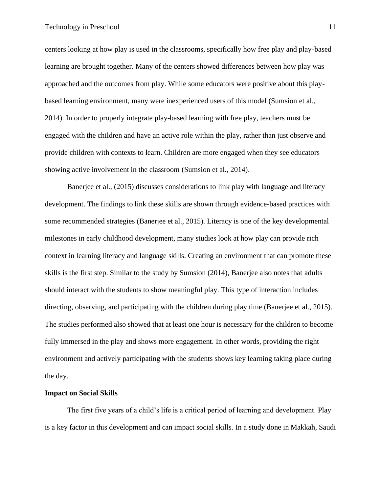centers looking at how play is used in the classrooms, specifically how free play and play-based learning are brought together. Many of the centers showed differences between how play was approached and the outcomes from play. While some educators were positive about this playbased learning environment, many were inexperienced users of this model (Sumsion et al., 2014). In order to properly integrate play-based learning with free play, teachers must be engaged with the children and have an active role within the play, rather than just observe and provide children with contexts to learn. Children are more engaged when they see educators showing active involvement in the classroom (Sumsion et al., 2014).

Banerjee et al., (2015) discusses considerations to link play with language and literacy development. The findings to link these skills are shown through evidence-based practices with some recommended strategies (Banerjee et al., 2015). Literacy is one of the key developmental milestones in early childhood development, many studies look at how play can provide rich context in learning literacy and language skills. Creating an environment that can promote these skills is the first step. Similar to the study by Sumsion (2014), Banerjee also notes that adults should interact with the students to show meaningful play. This type of interaction includes directing, observing, and participating with the children during play time (Banerjee et al., 2015). The studies performed also showed that at least one hour is necessary for the children to become fully immersed in the play and shows more engagement. In other words, providing the right environment and actively participating with the students shows key learning taking place during the day.

#### **Impact on Social Skills**

The first five years of a child's life is a critical period of learning and development. Play is a key factor in this development and can impact social skills. In a study done in Makkah, Saudi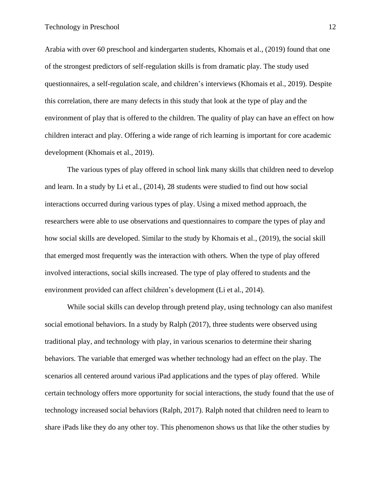Arabia with over 60 preschool and kindergarten students, Khomais et al., (2019) found that one of the strongest predictors of self-regulation skills is from dramatic play. The study used questionnaires, a self-regulation scale, and children's interviews (Khomais et al., 2019). Despite this correlation, there are many defects in this study that look at the type of play and the environment of play that is offered to the children. The quality of play can have an effect on how children interact and play. Offering a wide range of rich learning is important for core academic development (Khomais et al., 2019).

The various types of play offered in school link many skills that children need to develop and learn. In a study by Li et al., (2014), 28 students were studied to find out how social interactions occurred during various types of play. Using a mixed method approach, the researchers were able to use observations and questionnaires to compare the types of play and how social skills are developed. Similar to the study by Khomais et al., (2019), the social skill that emerged most frequently was the interaction with others. When the type of play offered involved interactions, social skills increased. The type of play offered to students and the environment provided can affect children's development (Li et al., 2014).

While social skills can develop through pretend play, using technology can also manifest social emotional behaviors. In a study by Ralph (2017), three students were observed using traditional play, and technology with play, in various scenarios to determine their sharing behaviors. The variable that emerged was whether technology had an effect on the play. The scenarios all centered around various iPad applications and the types of play offered. While certain technology offers more opportunity for social interactions, the study found that the use of technology increased social behaviors (Ralph, 2017). Ralph noted that children need to learn to share iPads like they do any other toy. This phenomenon shows us that like the other studies by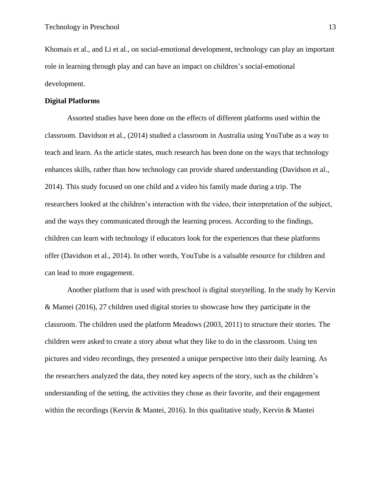Khomais et al., and Li et al., on social-emotional development, technology can play an important role in learning through play and can have an impact on children's social-emotional development.

#### **Digital Platforms**

Assorted studies have been done on the effects of different platforms used within the classroom. Davidson et al., (2014) studied a classroom in Australia using YouTube as a way to teach and learn. As the article states, much research has been done on the ways that technology enhances skills, rather than how technology can provide shared understanding (Davidson et al., 2014). This study focused on one child and a video his family made during a trip. The researchers looked at the children's interaction with the video, their interpretation of the subject, and the ways they communicated through the learning process. According to the findings, children can learn with technology if educators look for the experiences that these platforms offer (Davidson et al., 2014). In other words, YouTube is a valuable resource for children and can lead to more engagement.

Another platform that is used with preschool is digital storytelling. In the study by Kervin & Mantei (2016), 27 children used digital stories to showcase how they participate in the classroom. The children used the platform Meadows (2003, 2011) to structure their stories. The children were asked to create a story about what they like to do in the classroom. Using ten pictures and video recordings, they presented a unique perspective into their daily learning. As the researchers analyzed the data, they noted key aspects of the story, such as the children's understanding of the setting, the activities they chose as their favorite, and their engagement within the recordings (Kervin & Mantei, 2016). In this qualitative study, Kervin & Mantei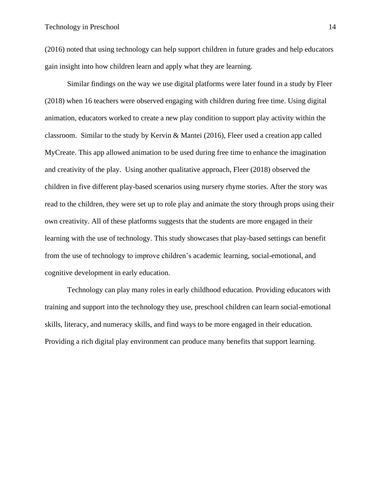(2016) noted that using technology can help support children in future grades and help educators gain insight into how children learn and apply what they are learning.

Similar findings on the way we use digital platforms were later found in a study by Fleer (2018) when 16 teachers were observed engaging with children during free time. Using digital animation, educators worked to create a new play condition to support play activity within the classroom. Similar to the study by Kervin & Mantei (2016), Fleer used a creation app called MyCreate. This app allowed animation to be used during free time to enhance the imagination and creativity of the play. Using another qualitative approach, Fleer (2018) observed the children in five different play-based scenarios using nursery rhyme stories. After the story was read to the children, they were set up to role play and animate the story through props using their own creativity. All of these platforms suggests that the students are more engaged in their learning with the use of technology. This study showcases that play-based settings can benefit from the use of technology to improve children's academic learning, social-emotional, and cognitive development in early education.

Technology can play many roles in early childhood education. Providing educators with training and support into the technology they use, preschool children can learn social-emotional skills, literacy, and numeracy skills, and find ways to be more engaged in their education. Providing a rich digital play environment can produce many benefits that support learning.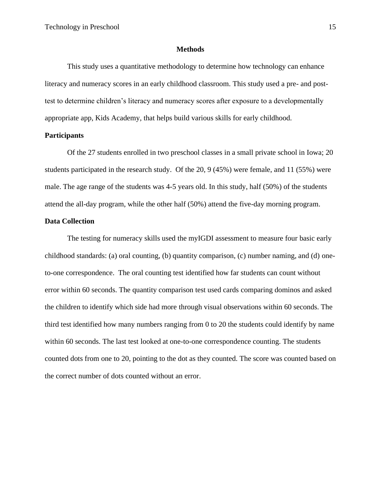#### **Methods**

<span id="page-15-0"></span>This study uses a quantitative methodology to determine how technology can enhance literacy and numeracy scores in an early childhood classroom. This study used a pre- and posttest to determine children's literacy and numeracy scores after exposure to a developmentally appropriate app, Kids Academy*,* that helps build various skills for early childhood.

#### <span id="page-15-1"></span>**Participants**

Of the 27 students enrolled in two preschool classes in a small private school in Iowa; 20 students participated in the research study. Of the 20, 9 (45%) were female, and 11 (55%) were male. The age range of the students was 4-5 years old. In this study, half (50%) of the students attend the all-day program, while the other half (50%) attend the five-day morning program.

#### <span id="page-15-2"></span>**Data Collection**

The testing for numeracy skills used the myIGDI assessment to measure four basic early childhood standards: (a) oral counting, (b) quantity comparison, (c) number naming, and (d) oneto-one correspondence. The oral counting test identified how far students can count without error within 60 seconds. The quantity comparison test used cards comparing dominos and asked the children to identify which side had more through visual observations within 60 seconds. The third test identified how many numbers ranging from 0 to 20 the students could identify by name within 60 seconds. The last test looked at one-to-one correspondence counting. The students counted dots from one to 20, pointing to the dot as they counted. The score was counted based on the correct number of dots counted without an error.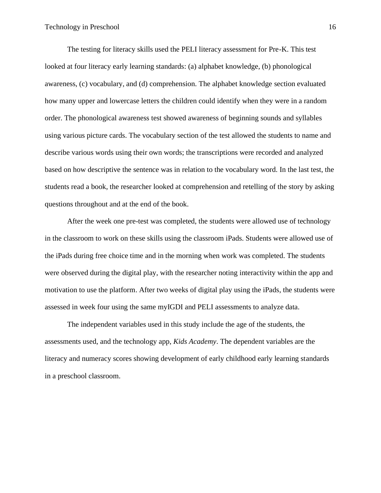The testing for literacy skills used the PELI literacy assessment for Pre-K. This test looked at four literacy early learning standards: (a) alphabet knowledge, (b) phonological awareness, (c) vocabulary, and (d) comprehension. The alphabet knowledge section evaluated how many upper and lowercase letters the children could identify when they were in a random order. The phonological awareness test showed awareness of beginning sounds and syllables using various picture cards. The vocabulary section of the test allowed the students to name and describe various words using their own words; the transcriptions were recorded and analyzed based on how descriptive the sentence was in relation to the vocabulary word. In the last test, the students read a book, the researcher looked at comprehension and retelling of the story by asking questions throughout and at the end of the book.

After the week one pre-test was completed, the students were allowed use of technology in the classroom to work on these skills using the classroom iPads. Students were allowed use of the iPads during free choice time and in the morning when work was completed. The students were observed during the digital play, with the researcher noting interactivity within the app and motivation to use the platform. After two weeks of digital play using the iPads, the students were assessed in week four using the same myIGDI and PELI assessments to analyze data.

The independent variables used in this study include the age of the students, the assessments used, and the technology app, *Kids Academy*. The dependent variables are the literacy and numeracy scores showing development of early childhood early learning standards in a preschool classroom.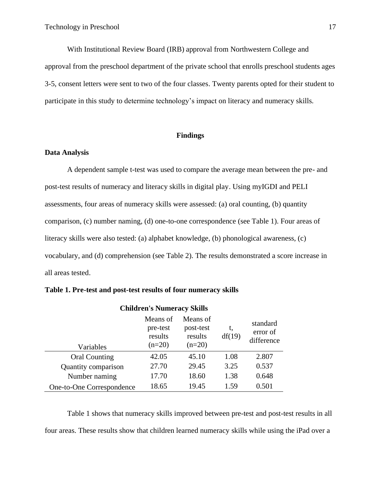With Institutional Review Board (IRB) approval from Northwestern College and approval from the preschool department of the private school that enrolls preschool students ages 3-5, consent letters were sent to two of the four classes. Twenty parents opted for their student to participate in this study to determine technology's impact on literacy and numeracy skills.

#### **Findings**

#### <span id="page-17-0"></span>**Data Analysis**

A dependent sample t-test was used to compare the average mean between the pre- and post-test results of numeracy and literacy skills in digital play. Using myIGDI and PELI assessments, four areas of numeracy skills were assessed: (a) oral counting, (b) quantity comparison, (c) number naming, (d) one-to-one correspondence (see Table 1). Four areas of literacy skills were also tested: (a) alphabet knowledge, (b) phonological awareness, (c) vocabulary, and (d) comprehension (see Table 2). The results demonstrated a score increase in all areas tested.

| Variables                 | Means of<br>pre-test<br>results<br>$(n=20)$ | Means of<br>post-test<br>results<br>$(n=20)$ | t.<br>df(19) | standard<br>error of<br>difference |
|---------------------------|---------------------------------------------|----------------------------------------------|--------------|------------------------------------|
| <b>Oral Counting</b>      | 42.05                                       | 45.10                                        | 1.08         | 2.807                              |
| Quantity comparison       | 27.70                                       | 29.45                                        | 3.25         | 0.537                              |
| Number naming             | 17.70                                       | 18.60                                        | 1.38         | 0.648                              |
| One-to-One Correspondence | 18.65                                       | 19.45                                        | 1.59         | 0.501                              |

**Children's Numeracy Skills**

#### **Table 1. Pre-test and post-test results of four numeracy skills**

Table 1 shows that numeracy skills improved between pre-test and post-test results in all four areas. These results show that children learned numeracy skills while using the iPad over a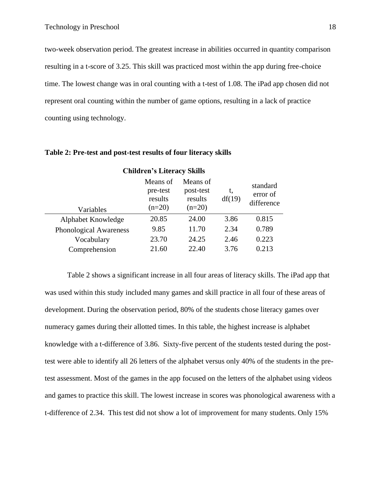two-week observation period. The greatest increase in abilities occurred in quantity comparison resulting in a t-score of 3.25. This skill was practiced most within the app during free-choice time. The lowest change was in oral counting with a t-test of 1.08. The iPad app chosen did not represent oral counting within the number of game options, resulting in a lack of practice counting using technology.

| Variables              | Means of<br>pre-test<br>results<br>$(n=20)$ | Means of<br>post-test<br>results<br>$(n=20)$ | t.<br>df(19) | standard<br>error of<br>difference |
|------------------------|---------------------------------------------|----------------------------------------------|--------------|------------------------------------|
| Alphabet Knowledge     | 20.85                                       | 24.00                                        | 3.86         | 0.815                              |
| Phonological Awareness | 9.85                                        | 11.70                                        | 2.34         | 0.789                              |
| Vocabulary             | 23.70                                       | 24.25                                        | 2.46         | 0.223                              |
| Comprehension          | 21.60                                       | 22.40                                        | 3.76         | 0.213                              |

**Children's Literacy Skills**

#### **Table 2: Pre-test and post-test results of four literacy skills**

Table 2 shows a significant increase in all four areas of literacy skills. The iPad app that was used within this study included many games and skill practice in all four of these areas of development. During the observation period, 80% of the students chose literacy games over numeracy games during their allotted times. In this table, the highest increase is alphabet knowledge with a t-difference of 3.86. Sixty-five percent of the students tested during the posttest were able to identify all 26 letters of the alphabet versus only 40% of the students in the pretest assessment. Most of the games in the app focused on the letters of the alphabet using videos and games to practice this skill. The lowest increase in scores was phonological awareness with a t-difference of 2.34. This test did not show a lot of improvement for many students. Only 15%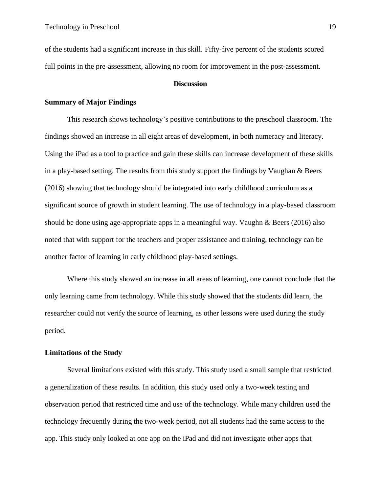of the students had a significant increase in this skill. Fifty-five percent of the students scored full points in the pre-assessment, allowing no room for improvement in the post-assessment.

#### **Discussion**

#### <span id="page-19-1"></span><span id="page-19-0"></span>**Summary of Major Findings**

This research shows technology's positive contributions to the preschool classroom. The findings showed an increase in all eight areas of development, in both numeracy and literacy. Using the iPad as a tool to practice and gain these skills can increase development of these skills in a play-based setting. The results from this study support the findings by Vaughan & Beers (2016) showing that technology should be integrated into early childhood curriculum as a significant source of growth in student learning. The use of technology in a play-based classroom should be done using age-appropriate apps in a meaningful way. Vaughn & Beers (2016) also noted that with support for the teachers and proper assistance and training, technology can be another factor of learning in early childhood play-based settings.

Where this study showed an increase in all areas of learning, one cannot conclude that the only learning came from technology. While this study showed that the students did learn, the researcher could not verify the source of learning, as other lessons were used during the study period.

#### <span id="page-19-2"></span>**Limitations of the Study**

Several limitations existed with this study. This study used a small sample that restricted a generalization of these results. In addition, this study used only a two-week testing and observation period that restricted time and use of the technology. While many children used the technology frequently during the two-week period, not all students had the same access to the app. This study only looked at one app on the iPad and did not investigate other apps that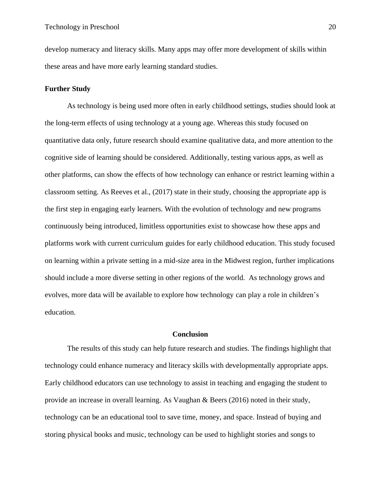develop numeracy and literacy skills. Many apps may offer more development of skills within these areas and have more early learning standard studies.

#### <span id="page-20-0"></span>**Further Study**

As technology is being used more often in early childhood settings, studies should look at the long-term effects of using technology at a young age. Whereas this study focused on quantitative data only, future research should examine qualitative data, and more attention to the cognitive side of learning should be considered. Additionally, testing various apps, as well as other platforms, can show the effects of how technology can enhance or restrict learning within a classroom setting. As Reeves et al., (2017) state in their study, choosing the appropriate app is the first step in engaging early learners. With the evolution of technology and new programs continuously being introduced, limitless opportunities exist to showcase how these apps and platforms work with current curriculum guides for early childhood education. This study focused on learning within a private setting in a mid-size area in the Midwest region, further implications should include a more diverse setting in other regions of the world. As technology grows and evolves, more data will be available to explore how technology can play a role in children's education.

#### **Conclusion**

<span id="page-20-1"></span>The results of this study can help future research and studies. The findings highlight that technology could enhance numeracy and literacy skills with developmentally appropriate apps. Early childhood educators can use technology to assist in teaching and engaging the student to provide an increase in overall learning. As Vaughan & Beers (2016) noted in their study, technology can be an educational tool to save time, money, and space. Instead of buying and storing physical books and music, technology can be used to highlight stories and songs to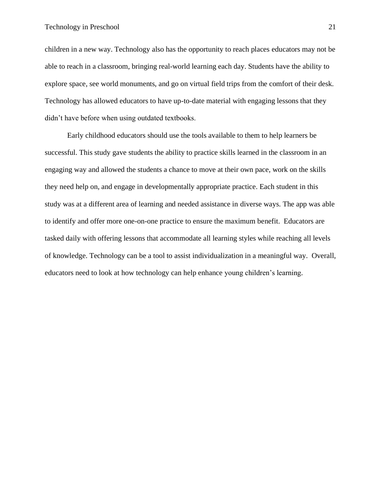children in a new way. Technology also has the opportunity to reach places educators may not be able to reach in a classroom, bringing real-world learning each day. Students have the ability to explore space, see world monuments, and go on virtual field trips from the comfort of their desk. Technology has allowed educators to have up-to-date material with engaging lessons that they didn't have before when using outdated textbooks.

Early childhood educators should use the tools available to them to help learners be successful. This study gave students the ability to practice skills learned in the classroom in an engaging way and allowed the students a chance to move at their own pace, work on the skills they need help on, and engage in developmentally appropriate practice. Each student in this study was at a different area of learning and needed assistance in diverse ways. The app was able to identify and offer more one-on-one practice to ensure the maximum benefit. Educators are tasked daily with offering lessons that accommodate all learning styles while reaching all levels of knowledge. Technology can be a tool to assist individualization in a meaningful way. Overall, educators need to look at how technology can help enhance young children's learning.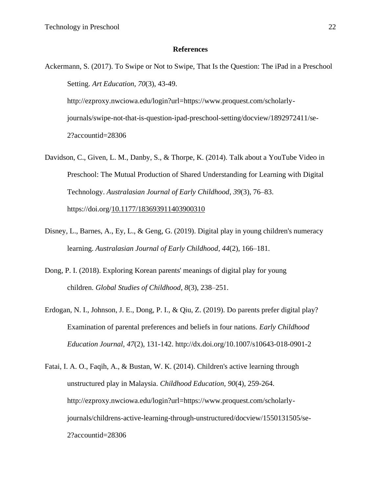#### **References**

- <span id="page-22-0"></span>Ackermann, S. (2017). To Swipe or Not to Swipe, That Is the Question: The iPad in a Preschool Setting. *Art Education, 70*(3), 43-49. http://ezproxy.nwciowa.edu/login?url=https://www.proquest.com/scholarlyjournals/swipe-not-that-is-question-ipad-preschool-setting/docview/1892972411/se-2?accountid=28306
- Davidson, C., Given, L. M., Danby, S., & Thorpe, K. (2014). Talk about a YouTube Video in Preschool: The Mutual Production of Shared Understanding for Learning with Digital Technology. *Australasian Journal of Early Childhood*, *39*(3), 76–83. https://doi.org[/10.1177/183693911403900310](https://doi-org.ezproxy.nwciowa.edu/10.1177/183693911403900310)
- Disney, L., Barnes, A., Ey, L., & Geng, G. (2019). Digital play in young children's numeracy learning. *Australasian Journal of Early Childhood*, *44*(2), 166–181.
- Dong, P. I. (2018). Exploring Korean parents' meanings of digital play for young children. *Global Studies of Childhood*, *8*(3), 238–251.
- Erdogan, N. I., Johnson, J. E., Dong, P. I., & Qiu, Z. (2019). Do parents prefer digital play? Examination of parental preferences and beliefs in four nations. *Early Childhood Education Journal, 47*(2), 131-142. http://dx.doi.org/10.1007/s10643-018-0901-2
- Fatai, I. A. O., Faqih, A., & Bustan, W. K. (2014). Children's active learning through unstructured play in Malaysia. *Childhood Education, 90*(4), 259-264. http://ezproxy.nwciowa.edu/login?url=https://www.proquest.com/scholarlyjournals/childrens-active-learning-through-unstructured/docview/1550131505/se-2?accountid=28306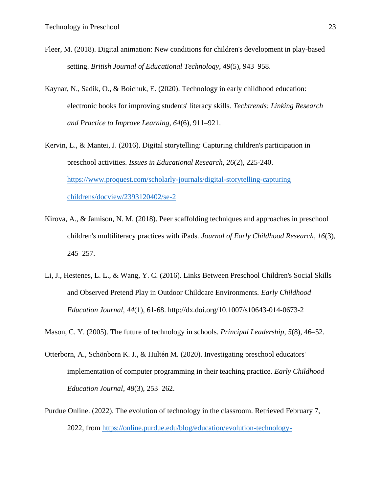- Fleer, M. (2018). Digital animation: New conditions for children's development in play-based setting. *British Journal of Educational Technology*, *49*(5), 943–958.
- Kaynar, N., Sadik, O., & Boichuk, E. (2020). Technology in early childhood education: electronic books for improving students' literacy skills. *Techtrends: Linking Research and Practice to Improve Learning*, *64*(6), 911–921.
- Kervin, L., & Mantei, J. (2016). Digital storytelling: Capturing children's participation in preschool activities. *Issues in Educational Research, 26*(2), 225-240. [https://www.proquest.com/scholarly-journals/digital-storytelling-capturing](https://www.proquest.com/scholarly-journals/digital-storytelling-capturing%20childrens/docview/2393120402/se-2)  [childrens/docview/2393120402/se-2](https://www.proquest.com/scholarly-journals/digital-storytelling-capturing%20childrens/docview/2393120402/se-2)
- Kirova, A., & Jamison, N. M. (2018). Peer scaffolding techniques and approaches in preschool children's multiliteracy practices with iPads. *Journal of Early Childhood Research*, *16*(3), 245–257.
- Li, J., Hestenes, L. L., & Wang, Y. C. (2016). Links Between Preschool Children's Social Skills and Observed Pretend Play in Outdoor Childcare Environments. *Early Childhood Education Journal, 44*(1), 61-68. http://dx.doi.org/10.1007/s10643-014-0673-2
- Mason, C. Y. (2005). The future of technology in schools. *Principal Leadership*, *5*(8), 46–52.
- Otterborn, A., Schönborn K. J., & Hultén M. (2020). Investigating preschool educators' implementation of computer programming in their teaching practice. *Early Childhood Education Journal*, *48*(3), 253–262.
- Purdue Online. (2022). The evolution of technology in the classroom. Retrieved February 7, 2022, from [https://online.purdue.edu/blog/education/evolution-technology-](https://online.purdue.edu/blog/education/evolution-technology-classroom#:~:text=Teachers%20needed%20new%20methods%20of,communicate%2C%20study%2C%20and%20learn.&text=Although%20the%20first%20computers%20were,were%20introduced%20in%20the%20)